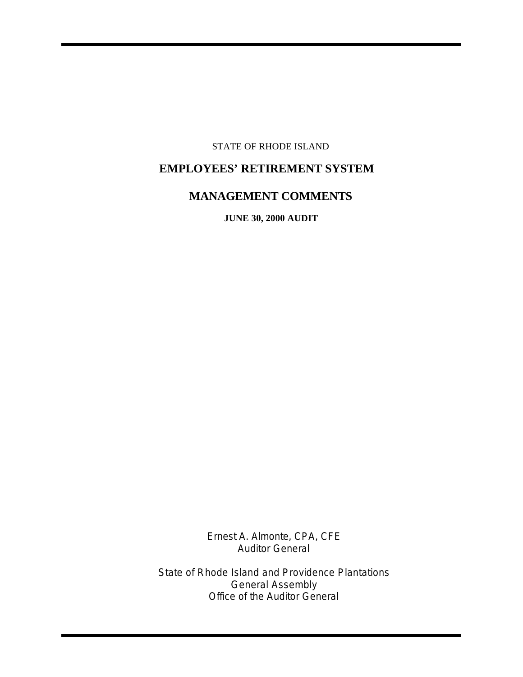STATE OF RHODE ISLAND

# **EMPLOYEES' RETIREMENT SYSTEM**

## **MANAGEMENT COMMENTS**

**JUNE 30, 2000 AUDIT**

Ernest A. Almonte, CPA, CFE Auditor General

State of Rhode Island and Providence Plantations General Assembly Office of the Auditor General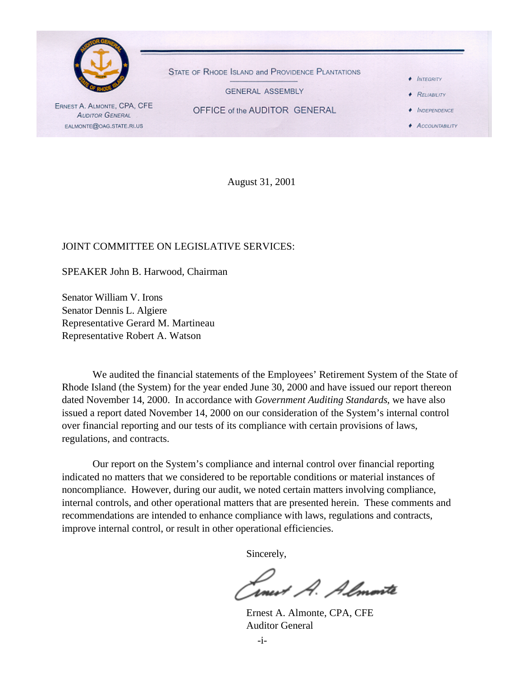

August 31, 2001

#### JOINT COMMITTEE ON LEGISLATIVE SERVICES:

SPEAKER John B. Harwood, Chairman

Senator William V. Irons Senator Dennis L. Algiere Representative Gerard M. Martineau Representative Robert A. Watson

We audited the financial statements of the Employees' Retirement System of the State of Rhode Island (the System) for the year ended June 30, 2000 and have issued our report thereon dated November 14, 2000. In accordance with *Government Auditing Standards*, we have also issued a report dated November 14, 2000 on our consideration of the System's internal control over financial reporting and our tests of its compliance with certain provisions of laws, regulations, and contracts.

Our report on the System's compliance and internal control over financial reporting indicated no matters that we considered to be reportable conditions or material instances of noncompliance. However, during our audit, we noted certain matters involving compliance, internal controls, and other operational matters that are presented herein. These comments and recommendations are intended to enhance compliance with laws, regulations and contracts, improve internal control, or result in other operational efficiencies.

Sincerely,

rnest A. Almonte

Ernest A. Almonte, CPA, CFE Auditor General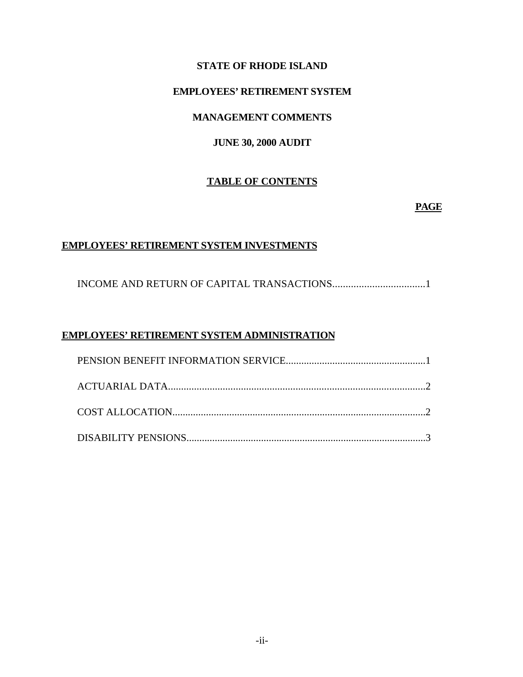### **STATE OF RHODE ISLAND**

### **EMPLOYEES' RETIREMENT SYSTEM**

### **MANAGEMENT COMMENTS**

### **JUNE 30, 2000 AUDIT**

### **TABLE OF CONTENTS**

### **PAGE**

#### **EMPLOYEES' RETIREMENT SYSTEM INVESTMENTS**

INCOME AND RETURN OF CAPITAL TRANSACTIONS...................................1

### **EMPLOYEES' RETIREMENT SYSTEM ADMINISTRATION**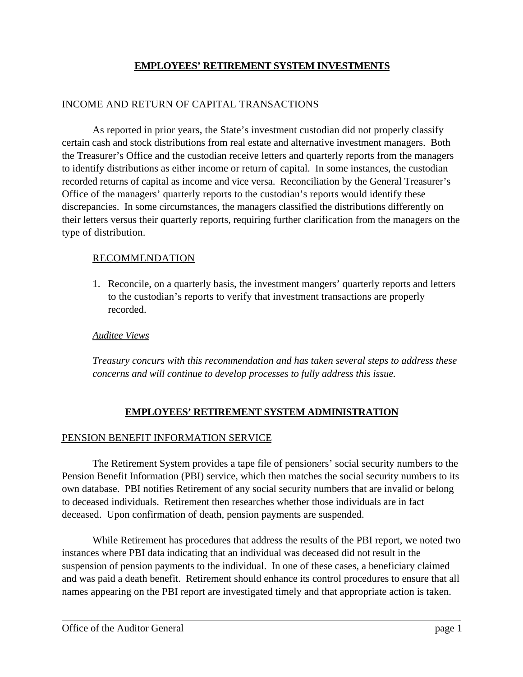### **EMPLOYEES' RETIREMENT SYSTEM INVESTMENTS**

### INCOME AND RETURN OF CAPITAL TRANSACTIONS

As reported in prior years, the State's investment custodian did not properly classify certain cash and stock distributions from real estate and alternative investment managers. Both the Treasurer's Office and the custodian receive letters and quarterly reports from the managers to identify distributions as either income or return of capital. In some instances, the custodian recorded returns of capital as income and vice versa. Reconciliation by the General Treasurer's Office of the managers' quarterly reports to the custodian's reports would identify these discrepancies. In some circumstances, the managers classified the distributions differently on their letters versus their quarterly reports, requiring further clarification from the managers on the type of distribution.

### RECOMMENDATION

1. Reconcile, on a quarterly basis, the investment mangers' quarterly reports and letters to the custodian's reports to verify that investment transactions are properly recorded.

### *Auditee Views*

*Treasury concurs with this recommendation and has taken several steps to address these concerns and will continue to develop processes to fully address this issue.*

### **EMPLOYEES' RETIREMENT SYSTEM ADMINISTRATION**

### PENSION BENEFIT INFORMATION SERVICE

The Retirement System provides a tape file of pensioners' social security numbers to the Pension Benefit Information (PBI) service, which then matches the social security numbers to its own database. PBI notifies Retirement of any social security numbers that are invalid or belong to deceased individuals. Retirement then researches whether those individuals are in fact deceased. Upon confirmation of death, pension payments are suspended.

While Retirement has procedures that address the results of the PBI report, we noted two instances where PBI data indicating that an individual was deceased did not result in the suspension of pension payments to the individual. In one of these cases, a beneficiary claimed and was paid a death benefit. Retirement should enhance its control procedures to ensure that all names appearing on the PBI report are investigated timely and that appropriate action is taken.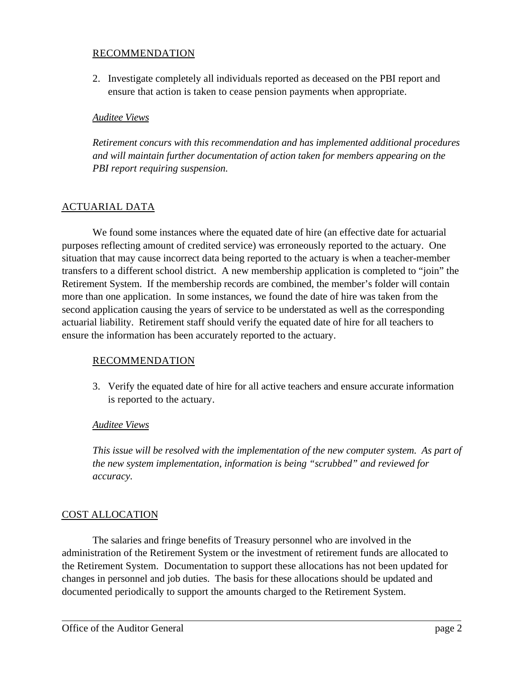#### RECOMMENDATION

2. Investigate completely all individuals reported as deceased on the PBI report and ensure that action is taken to cease pension payments when appropriate.

### *Auditee Views*

*Retirement concurs with this recommendation and has implemented additional procedures and will maintain further documentation of action taken for members appearing on the PBI report requiring suspension.*

### ACTUARIAL DATA

We found some instances where the equated date of hire (an effective date for actuarial purposes reflecting amount of credited service) was erroneously reported to the actuary. One situation that may cause incorrect data being reported to the actuary is when a teacher-member transfers to a different school district. A new membership application is completed to "join" the Retirement System. If the membership records are combined, the member's folder will contain more than one application. In some instances, we found the date of hire was taken from the second application causing the years of service to be understated as well as the corresponding actuarial liability. Retirement staff should verify the equated date of hire for all teachers to ensure the information has been accurately reported to the actuary.

### RECOMMENDATION

3. Verify the equated date of hire for all active teachers and ensure accurate information is reported to the actuary.

### *Auditee Views*

*This issue will be resolved with the implementation of the new computer system. As part of the new system implementation, information is being "scrubbed" and reviewed for accuracy.*

### COST ALLOCATION

The salaries and fringe benefits of Treasury personnel who are involved in the administration of the Retirement System or the investment of retirement funds are allocated to the Retirement System. Documentation to support these allocations has not been updated for changes in personnel and job duties. The basis for these allocations should be updated and documented periodically to support the amounts charged to the Retirement System.